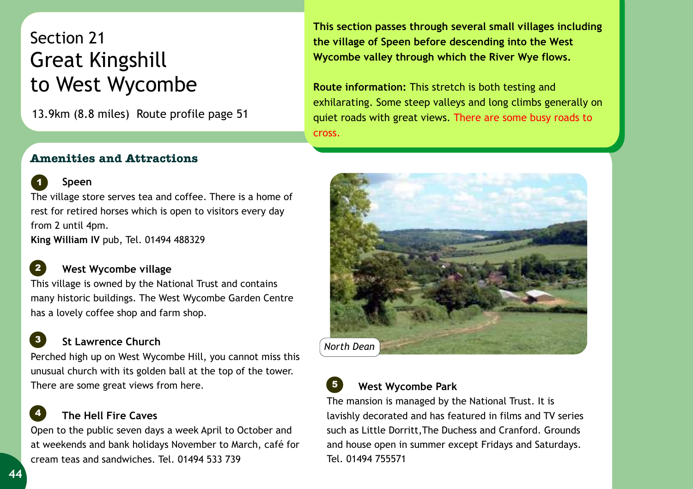# Section 21 Great Kingshill to West Wycombe

13.9km (8.8 miles) Route profile page 51

**This section passes through several small villages including the village of Speen before descending into the West Wycombe valley through which the River Wye flows.** 

**Route information:** This stretch is both testing and exhilarating. Some steep valleys and long climbs generally on quiet roads with great views. There are some busy roads to cross.

## **Amenities and Attractions**



*1*

The village store serves tea and coffee. There is a home of rest for retired horses which is open to visitors every day from 2 until 4pm.

**King William IV** pub, Tel. 01494 488329

#### **West Wycombe village**  *2*

This village is owned by the National Trust and contains many historic buildings. The West Wycombe Garden Centre has a lovely coffee shop and farm shop.

#### **St Lawrence Church**  *3*

Perched high up on West Wycombe Hill, you cannot miss this unusual church with its golden ball at the top of the tower. There are some great views from here.

### **The Hell Fire Caves**  *4*

Open to the public seven days a week April to October and at weekends and bank holidays November to March, café for cream teas and sandwiches. Tel. 01494 533 739





## **West Wycombe Park**

The mansion is managed by the National Trust. It is lavishly decorated and has featured in films and TV series such as Little Dorritt,The Duchess and Cranford. Grounds and house open in summer except Fridays and Saturdays. Tel. 01494 755571